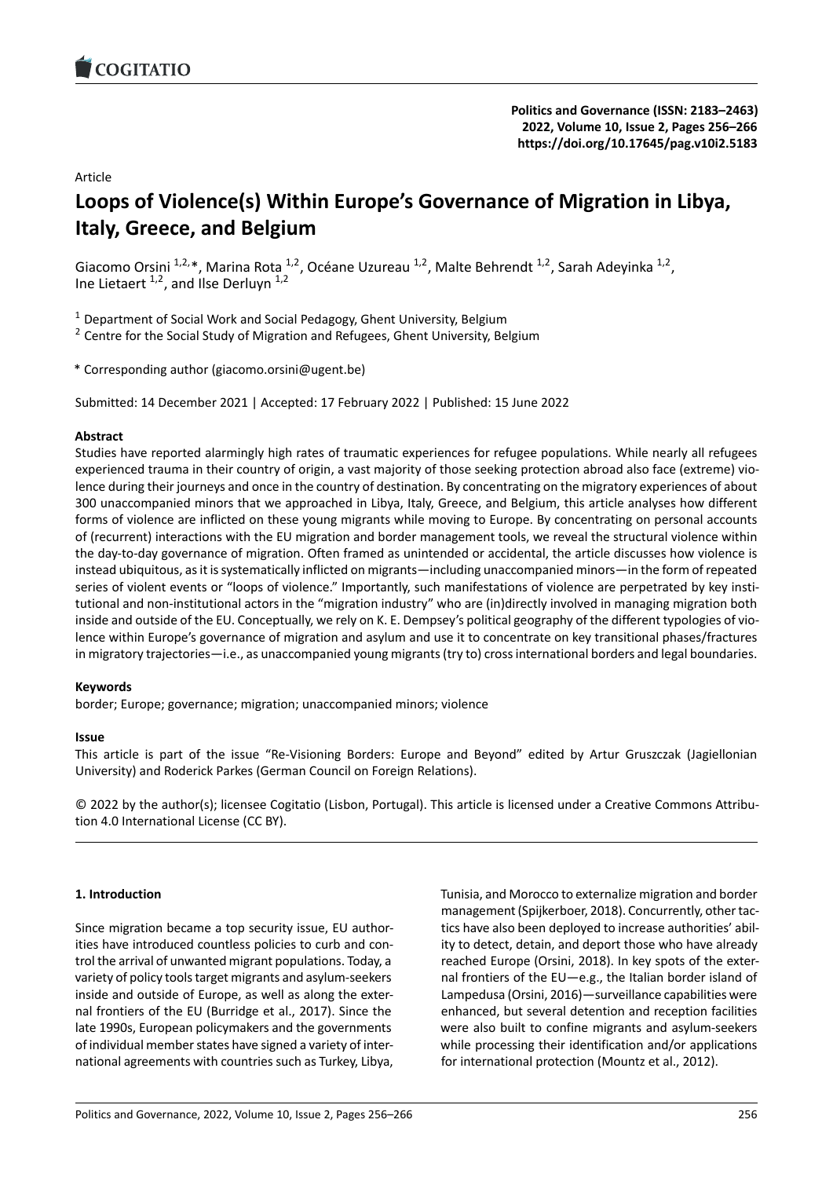

## Article

# **Loops of Violence(s) Within Europe's Governan[ce of Migration in Libya,](https://doi.org/10.17645/pag.v10i2.5183) Italy, Greece, and Belgium**

Giacomo Orsini <sup>1,2,\*</sup>, Marina Rota <sup>1,2</sup>, Océane Uzureau <sup>1,2</sup>, Malte Behrendt <sup>1,2</sup>, Sarah Adeyinka <sup>1,2</sup>, Ine Lietaert  $1,2$ , and Ilse Derluyn  $1,2$ 

 $1$  Department of Social Work and Social Pedagogy, Ghent University, Belgium

<sup>2</sup> Centre for the Social Study of Migration and Refugees, Ghent University, Belgium

\* Corresponding author (giacomo.orsini@ugent.be)

Submitted: 14 December 2021 | Accepted: 17 February 2022 | Published: 15 June 2022

### **Abstract**

Studies have reported alarmingly high rates of traumatic experiences for refugee populations. While nearly all refugees experienced trauma in their country of origin, a vast majority of those seeking protection abroad also face (extreme) violence during their journeys and once in the country of destination. By concentrating on the migratory experiences of about 300 unaccompanied minors that we approached in Libya, Italy, Greece, and Belgium, this article analyses how different forms of violence are inflicted on these young migrants while moving to Europe. By concentrating on personal accounts of (recurrent) interactions with the EU migration and border management tools, we reveal the structural violence within the day‐to‐day governance of migration. Often framed as unintended or accidental, the article discusses how violence is instead ubiquitous, as it is systematically inflicted on migrants—including unaccompanied minors—in the form of repeated series of violent events or "loops of violence." Importantly, such manifestations of violence are perpetrated by key institutional and non‐institutional actors in the "migration industry" who are (in)directly involved in managing migration both inside and outside of the EU. Conceptually, we rely on K. E. Dempsey's political geography of the different typologies of violence within Europe's governance of migration and asylum and use it to concentrate on key transitional phases/fractures in migratory trajectories—i.e., as unaccompanied young migrants (try to) cross international borders and legal boundaries.

### **Keywords**

border; Europe; governance; migration; unaccompanied minors; violence

### **Issue**

This article is part of the issue "Re‐Visioning Borders: Europe and Beyond" edited by Artur Gruszczak (Jagiellonian University) and Roderick Parkes (German Council on Foreign Relations).

© 2022 by the author(s); licensee Cogitatio (Lisbon, Portugal). This article is licensed under a Creative Commons Attribu‐ tion 4.0 International License (CC BY).

### **1. Introduction**

Since migration became a top security issue, EU author‐ ities have introduced countless policies to curb and con‐ trol the arrival of unwanted migrant populations. Today, a variety of policy tools target migrants and asylum‐seekers inside and outside of Europe, as well as along the exter‐ nal frontiers of the EU (Burridge et al., 2017). Since the late 1990s, European policymakers and the governments of individual member states have signed a variety of inter‐ national agreements with countries such as Turkey, Libya, Tunisia, and Morocco to externalize migration and border management (Spijkerboer, 2018). Concurrently, other tactics have also been deployed to increase authorities' abil‐ ity to detect, detain, and deport those who have already reached Europe (Orsini, 2018). In key spots of the exter‐ nal frontiers of the EU—e.g., the Italian border island of Lampedusa (Orsini, 2016)—surveillance capabilities were enhanced, but several detention and reception facilities were also built to confine migrants and asylum‐seekers while processing their identification and/or applications for international protection (Mountz et al., 2012).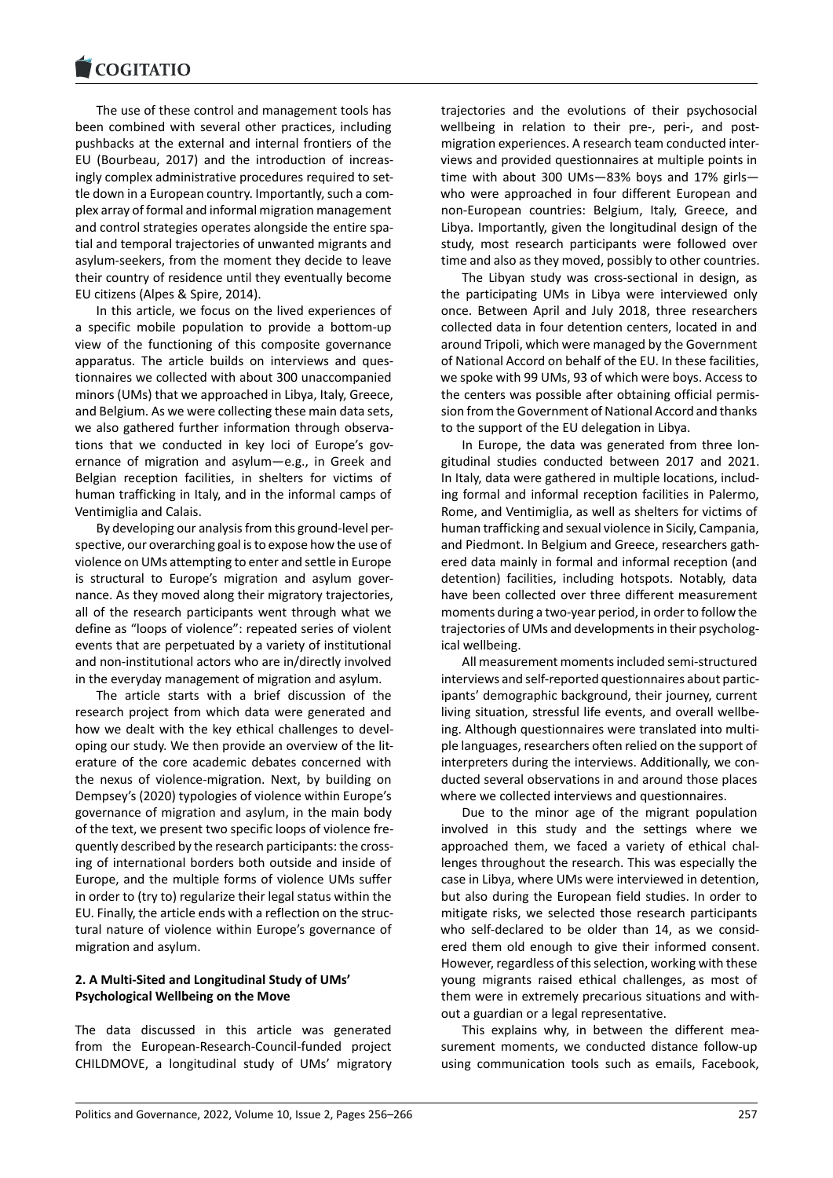#### **LOGITATIO**

The use of these control and management tools has [been combined with](https://www.cogitatiopress.com) several other practices, including pushbacks at the external and internal frontiers of the EU (Bourbeau, 2017) and the introduction of increas‐ ingly complex administrative procedures required to settle down in a European country. Importantly, such a com‐ plex array of formal and informal migration management and control strategies operates alongside the entire spatial and temporal trajectories of unwanted migrants and asylum‐seekers, from the moment they decide to leave their country of residence until they eventually become EU citizens (Alpes & Spire, 2014).

In this article, we focus on the lived experiences of a specific mobile population to provide a bottom‐up view of the functioning of this composite governance apparatus. The article builds on interviews and ques‐ tionnaires we collected with about 300 unaccompanied minors (UMs) that we approached in Libya, Italy, Greece, and Belgium. As we were collecting these main data sets, we also gathered further information through observations that we conducted in key loci of Europe's gov‐ ernance of migration and asylum—e.g., in Greek and Belgian reception facilities, in shelters for victims of human trafficking in Italy, and in the informal camps of Ventimiglia and Calais.

By developing our analysis from this ground‐level per‐ spective, our overarching goal is to expose how the use of violence on UMs attempting to enter and settle in Europe is structural to Europe's migration and asylum gover‐ nance. As they moved along their migratory trajectories, all of the research participants went through what we define as "loops of violence": repeated series of violent events that are perpetuated by a variety of institutional and non‐institutional actors who are in/directly involved in the everyday management of migration and asylum.

The article starts with a brief discussion of the research project from which data were generated and how we dealt with the key ethical challenges to devel‐ oping our study. We then provide an overview of the lit‐ erature of the core academic debates concerned with the nexus of violence‐migration. Next, by building on Dempsey's (2020) typologies of violence within Europe's governance of migration and asylum, in the main body of the text, we present two specific loops of violence fre‐ quently described by the research participants: the cross‐ ing of international borders both outside and inside of Europe, and the multiple forms of violence UMs suffer in order to (try to) regularize their legal status within the EU. Finally, the article ends with a reflection on the struc‐ tural nature of violence within Europe's governance of migration and asylum.

### **2. A Multi‐Sited and Longitudinal Study of UMs' Psychological Wellbeing on the Move**

The data discussed in this article was generated from the European‐Research‐Council‐funded project CHILDMOVE, a longitudinal study of UMs' migratory

trajectories and the evolutions of their psychosocial wellbeing in relation to their pre-, peri-, and postmigration experiences. A research team conducted inter‐ views and provided questionnaires at multiple points in time with about 300 UMs—83% boys and 17% girls who were approached in four different European and non‐European countries: Belgium, Italy, Greece, and Libya. Importantly, given the longitudinal design of the study, most research participants were followed over time and also as they moved, possibly to other countries.

The Libyan study was cross‐sectional in design, as the participating UMs in Libya were interviewed only once. Between April and July 2018, three researchers collected data in four detention centers, located in and around Tripoli, which were managed by the Government of National Accord on behalf of the EU. In these facilities, we spoke with 99 UMs, 93 of which were boys. Access to the centers was possible after obtaining official permis‐ sion from the Government of National Accord and thanks to the support of the EU delegation in Libya.

In Europe, the data was generated from three lon‐ gitudinal studies conducted between 2017 and 2021. In Italy, data were gathered in multiple locations, includ‐ ing formal and informal reception facilities in Palermo, Rome, and Ventimiglia, as well as shelters for victims of human trafficking and sexual violence in Sicily, Campania, and Piedmont. In Belgium and Greece, researchers gath‐ ered data mainly in formal and informal reception (and detention) facilities, including hotspots. Notably, data have been collected over three different measurement moments during a two‐year period, in order to follow the trajectories of UMs and developments in their psycholog‐ ical wellbeing.

All measurement moments included semi‐structured interviews and self‐reported questionnaires about partic‐ ipants' demographic background, their journey, current living situation, stressful life events, and overall wellbe‐ ing. Although questionnaires were translated into multi‐ ple languages, researchers often relied on the support of interpreters during the interviews. Additionally, we conducted several observations in and around those places where we collected interviews and questionnaires.

Due to the minor age of the migrant population involved in this study and the settings where we approached them, we faced a variety of ethical chal‐ lenges throughout the research. This was especially the case in Libya, where UMs were interviewed in detention, but also during the European field studies. In order to mitigate risks, we selected those research participants who self-declared to be older than 14, as we considered them old enough to give their informed consent. However, regardless of this selection, working with these young migrants raised ethical challenges, as most of them were in extremely precarious situations and with‐ out a guardian or a legal representative.

This explains why, in between the different mea‐ surement moments, we conducted distance follow‐up using communication tools such as emails, Facebook,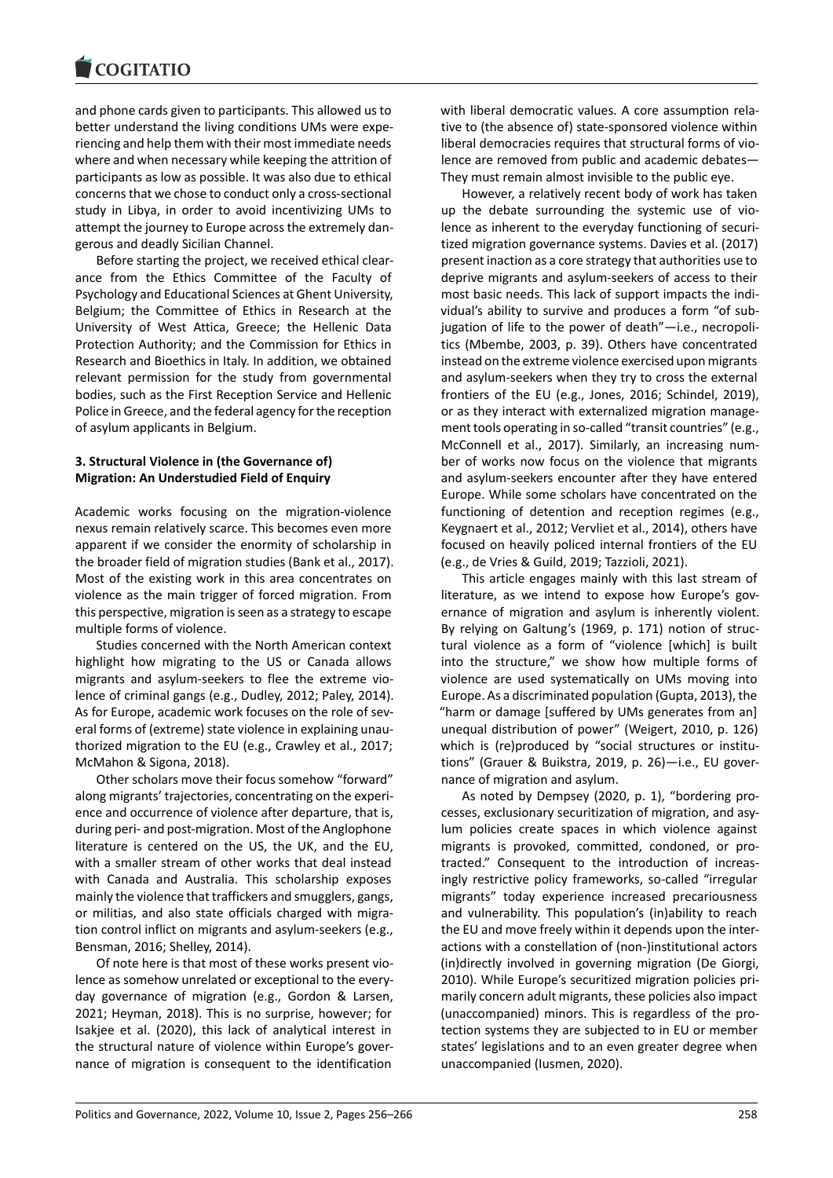#### **COMMITMENT**

and phone cards given to participants. This allowed us to [better understand th](https://www.cogitatiopress.com)e living conditions UMs were expe‐ riencing and help them with their most immediate needs where and when necessary while keeping the attrition of participants as low as possible. It was also due to ethical concerns that we chose to conduct only a cross‐sectional study in Libya, in order to avoid incentivizing UMs to attempt the journey to Europe across the extremely dan‐ gerous and deadly Sicilian Channel.

Before starting the project, we received ethical clear‐ ance from the Ethics Committee of the Faculty of Psychology and Educational Sciences at Ghent University, Belgium; the Committee of Ethics in Research at the University of West Attica, Greece; the Hellenic Data Protection Authority; and the Commission for Ethics in Research and Bioethics in Italy. In addition, we obtained relevant permission for the study from governmental bodies, such as the First Reception Service and Hellenic Police in Greece, and the federal agency for the reception of asylum applicants in Belgium.

### **3. Structural Violence in (the Governance of) Migration: An Understudied Field of Enquiry**

Academic works focusing on the migration‐violence nexus remain relatively scarce. This becomes even more apparent if we consider the enormity of scholarship in the broader field of migration studies (Bank et al., 2017). Most of the existing work in this area concentrates on violence as the main trigger of forced migration. From this perspective, migration is seen as a strategy to escape multiple forms of violence.

Studies concerned with the North American context highlight how migrating to the US or Canada allows migrants and asylum‐seekers to flee the extreme vio‐ lence of criminal gangs (e.g., Dudley, 2012; Paley, 2014). As for Europe, academic work focuses on the role of several forms of (extreme) state violence in explaining unau‐ thorized migration to the EU (e.g., Crawley et al., 2017; McMahon & Sigona, 2018).

Other scholars move their focus somehow "forward" along migrants' trajectories, concentrating on the experi‐ ence and occurrence of violence after departure, that is, during peri‐ and post‐migration. Most of the Anglophone literature is centered on the US, the UK, and the EU, with a smaller stream of other works that deal instead with Canada and Australia. This scholarship exposes mainly the violence that traffickers and smugglers, gangs, or militias, and also state officials charged with migra‐ tion control inflict on migrants and asylum‐seekers (e.g., Bensman, 2016; Shelley, 2014).

Of note here is that most of these works present vio‐ lence as somehow unrelated or exceptional to the every‐ day governance of migration (e.g., Gordon & Larsen, 2021; Heyman, 2018). This is no surprise, however; for Isakjee et al. (2020), this lack of analytical interest in the structural nature of violence within Europe's gover‐ nance of migration is consequent to the identification

with liberal democratic values. A core assumption relative to (the absence of) state‐sponsored violence within liberal democracies requires that structural forms of vio‐ lence are removed from public and academic debates— They must remain almost invisible to the public eye.

However, a relatively recent body of work has taken up the debate surrounding the systemic use of violence as inherent to the everyday functioning of securi‐ tized migration governance systems. Davies et al. (2017) present inaction as a core strategy that authorities use to deprive migrants and asylum‐seekers of access to their most basic needs. This lack of support impacts the indi‐ vidual's ability to survive and produces a form "of sub‐ jugation of life to the power of death"—i.e., necropoli‐ tics (Mbembe, 2003, p. 39). Others have concentrated instead on the extreme violence exercised upon migrants and asylum‐seekers when they try to cross the external frontiers of the EU (e.g., Jones, 2016; Schindel, 2019), or as they interact with externalized migration manage‐ ment tools operating in so-called "transit countries" (e.g., McConnell et al., 2017). Similarly, an increasing num‐ ber of works now focus on the violence that migrants and asylum‐seekers encounter after they have entered Europe. While some scholars have concentrated on the functioning of detention and reception regimes (e.g., Keygnaert et al., 2012; Vervliet et al., 2014), others have focused on heavily policed internal frontiers of the EU (e.g., de Vries & Guild, 2019; Tazzioli, 2021).

This article engages mainly with this last stream of literature, as we intend to expose how Europe's governance of migration and asylum is inherently violent. By relying on Galtung's (1969, p. 171) notion of struc‐ tural violence as a form of "violence [which] is built into the structure," we show how multiple forms of violence are used systematically on UMs moving into Europe. As a discriminated population (Gupta, 2013), the "harm or damage [suffered by UMs generates from an] unequal distribution of power" (Weigert, 2010, p. 126) which is (re)produced by "social structures or institutions" (Grauer & Buikstra, 2019, p. 26)—i.e., EU gover‐ nance of migration and asylum.

As noted by Dempsey (2020, p. 1), "bordering pro‐ cesses, exclusionary securitization of migration, and asy‐ lum policies create spaces in which violence against migrants is provoked, committed, condoned, or pro‐ tracted." Consequent to the introduction of increas‐ ingly restrictive policy frameworks, so‐called "irregular migrants" today experience increased precariousness and vulnerability. This population's (in)ability to reach the EU and move freely within it depends upon the inter‐ actions with a constellation of (non‐)institutional actors (in)directly involved in governing migration (De Giorgi, 2010). While Europe's securitized migration policies pri‐ marily concern adult migrants, these policies also impact (unaccompanied) minors. This is regardless of the pro‐ tection systems they are subjected to in EU or member states' legislations and to an even greater degree when unaccompanied (Iusmen, 2020).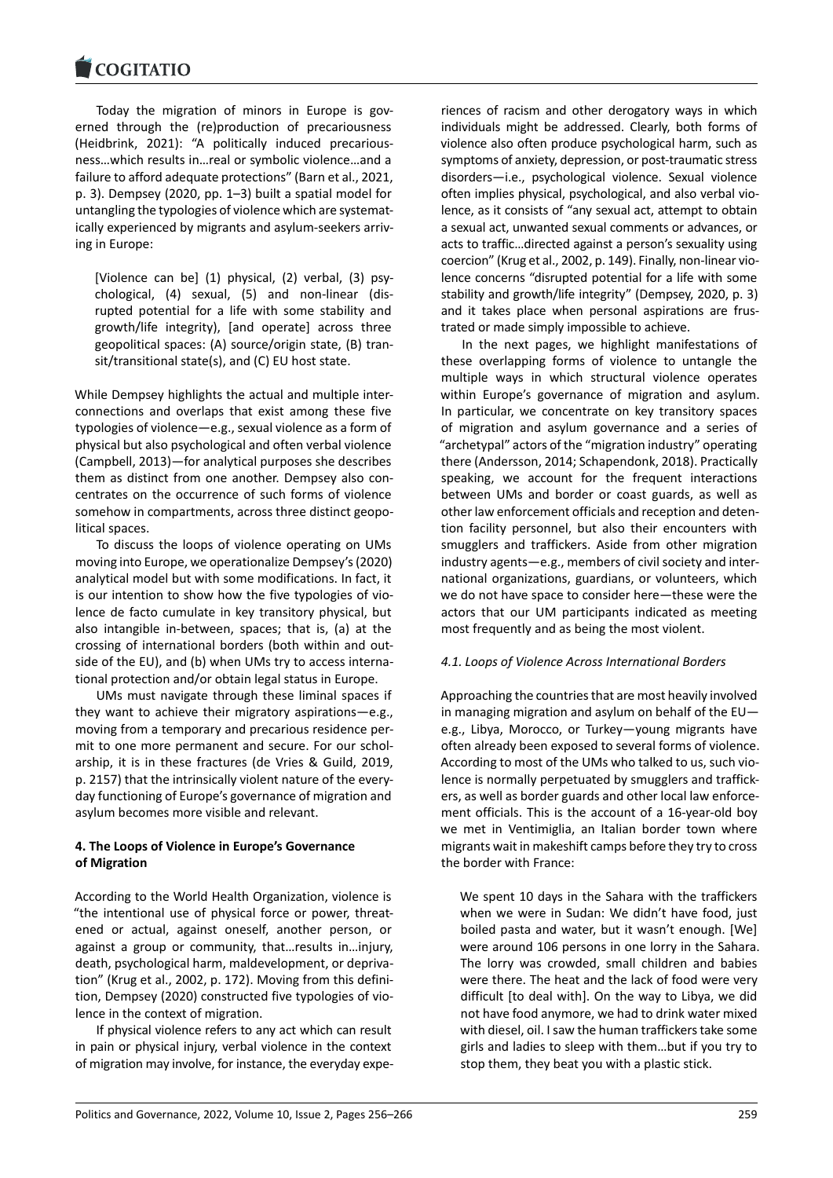#### **LOGITATIO**

Today the migration of minors in Europe is gov[erned through the](https://www.cogitatiopress.com) (re)production of precariousness (Heidbrink, 2021): "A politically induced precarious‐ ness…which results in…real or symbolic violence…and a failure to afford adequate protections" (Barn et al., 2021, p. 3). Dempsey (2020, pp. 1–3) built a spatial model for untangling the typologies of violence which are systemat‐ ically experienced by migrants and asylum‐seekers arriv‐ ing in Europe:

[Violence can be] (1) physical, (2) verbal, (3) psy‐ chological, (4) sexual, (5) and non‐linear (dis‐ rupted potential for a life with some stability and growth/life integrity), [and operate] across three geopolitical spaces: (A) source/origin state, (B) tran‐ sit/transitional state(s), and (C) EU host state.

While Dempsey highlights the actual and multiple inter‐ connections and overlaps that exist among these five typologies of violence—e.g., sexual violence as a form of physical but also psychological and often verbal violence (Campbell, 2013)—for analytical purposes she describes them as distinct from one another. Dempsey also con‐ centrates on the occurrence of such forms of violence somehow in compartments, across three distinct geopolitical spaces.

To discuss the loops of violence operating on UMs moving into Europe, we operationalize Dempsey's (2020) analytical model but with some modifications. In fact, it is our intention to show how the five typologies of vio‐ lence de facto cumulate in key transitory physical, but also intangible in‐between, spaces; that is, (a) at the crossing of international borders (both within and out‐ side of the EU), and (b) when UMs try to access international protection and/or obtain legal status in Europe.

UMs must navigate through these liminal spaces if they want to achieve their migratory aspirations—e.g., moving from a temporary and precarious residence per‐ mit to one more permanent and secure. For our schol‐ arship, it is in these fractures (de Vries & Guild, 2019, p. 2157) that the intrinsically violent nature of the every‐ day functioning of Europe's governance of migration and asylum becomes more visible and relevant.

### **4. The Loops of Violence in Europe's Governance of Migration**

According to the World Health Organization, violence is "the intentional use of physical force or power, threat‐ ened or actual, against oneself, another person, or against a group or community, that…results in…injury, death, psychological harm, maldevelopment, or depriva‐ tion" (Krug et al., 2002, p. 172). Moving from this defini‐ tion, Dempsey (2020) constructed five typologies of vio‐ lence in the context of migration.

If physical violence refers to any act which can result in pain or physical injury, verbal violence in the context of migration may involve, for instance, the everyday expe‐

riences of racism and other derogatory ways in which individuals might be addressed. Clearly, both forms of violence also often produce psychological harm, such as symptoms of anxiety, depression, or post-traumatic stress disorders—i.e., psychological violence. Sexual violence often implies physical, psychological, and also verbal vio‐ lence, as it consists of "any sexual act, attempt to obtain a sexual act, unwanted sexual comments or advances, or acts to traffic…directed against a person's sexuality using coercion" (Krug et al., 2002, p. 149). Finally, non‐linear vio‐ lence concerns "disrupted potential for a life with some stability and growth/life integrity" (Dempsey, 2020, p. 3) and it takes place when personal aspirations are frus‐ trated or made simply impossible to achieve.

In the next pages, we highlight manifestations of these overlapping forms of violence to untangle the multiple ways in which structural violence operates within Europe's governance of migration and asylum. In particular, we concentrate on key transitory spaces of migration and asylum governance and a series of "archetypal" actors of the "migration industry" operating there (Andersson, 2014; Schapendonk, 2018). Practically speaking, we account for the frequent interactions between UMs and border or coast guards, as well as other law enforcement officials and reception and deten‐ tion facility personnel, but also their encounters with smugglers and traffickers. Aside from other migration industry agents—e.g., members of civil society and inter‐ national organizations, guardians, or volunteers, which we do not have space to consider here—these were the actors that our UM participants indicated as meeting most frequently and as being the most violent.

### *4.1. Loops of Violence Across International Borders*

Approaching the countries that are most heavily involved in managing migration and asylum on behalf of the EU e.g., Libya, Morocco, or Turkey—young migrants have often already been exposed to several forms of violence. According to most of the UMs who talked to us, such vio‐ lence is normally perpetuated by smugglers and traffick‐ ers, as well as border guards and other local law enforce‐ ment officials. This is the account of a 16‐year‐old boy we met in Ventimiglia, an Italian border town where migrants wait in makeshift camps before they try to cross the border with France:

We spent 10 days in the Sahara with the traffickers when we were in Sudan: We didn't have food, just boiled pasta and water, but it wasn't enough. [We] were around 106 persons in one lorry in the Sahara. The lorry was crowded, small children and babies were there. The heat and the lack of food were very difficult [to deal with]. On the way to Libya, we did not have food anymore, we had to drink water mixed with diesel, oil. I saw the human traffickers take some girls and ladies to sleep with them…but if you try to stop them, they beat you with a plastic stick.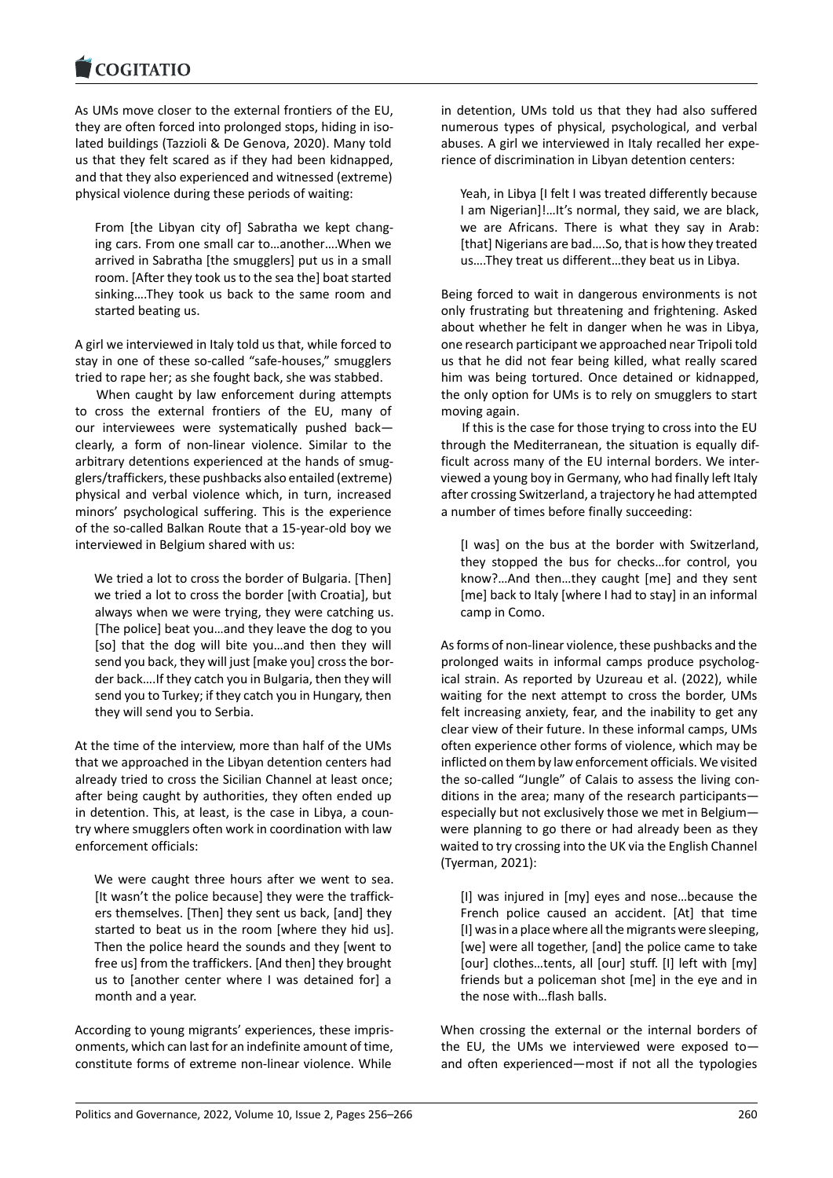#### COQUATIO

As UMs move closer to the external frontiers of the EU, [they are often forced](https://www.cogitatiopress.com) into prolonged stops, hiding in iso‐ lated buildings (Tazzioli & De Genova, 2020). Many told us that they felt scared as if they had been kidnapped, and that they also experienced and witnessed (extreme) physical violence during these periods of waiting:

From [the Libyan city of] Sabratha we kept chang‐ ing cars. From one small car to…another….When we arrived in Sabratha [the smugglers] put us in a small room. [After they took us to the sea the] boat started sinking….They took us back to the same room and started beating us.

A girl we interviewed in Italy told us that, while forced to stay in one of these so-called "safe-houses," smugglers tried to rape her; as she fought back, she was stabbed.

When caught by law enforcement during attempts to cross the external frontiers of the EU, many of our interviewees were systematically pushed back clearly, a form of non‐linear violence. Similar to the arbitrary detentions experienced at the hands of smug‐ glers/traffickers, these pushbacks also entailed (extreme) physical and verbal violence which, in turn, increased minors' psychological suffering. This is the experience of the so‐called Balkan Route that a 15‐year‐old boy we interviewed in Belgium shared with us:

We tried a lot to cross the border of Bulgaria. [Then] we tried a lot to cross the border [with Croatia], but always when we were trying, they were catching us. [The police] beat you…and they leave the dog to you [so] that the dog will bite you...and then they will send you back, they will just [make you] cross the bor‐ der back….If they catch you in Bulgaria, then they will send you to Turkey; if they catch you in Hungary, then they will send you to Serbia.

At the time of the interview, more than half of the UMs that we approached in the Libyan detention centers had already tried to cross the Sicilian Channel at least once; after being caught by authorities, they often ended up in detention. This, at least, is the case in Libya, a coun‐ try where smugglers often work in coordination with law enforcement officials:

We were caught three hours after we went to sea. [It wasn't the police because] they were the traffick‐ ers themselves. [Then] they sent us back, [and] they started to beat us in the room [where they hid us]. Then the police heard the sounds and they [went to free us] from the traffickers. [And then] they brought us to [another center where I was detained for] a month and a year.

According to young migrants' experiences, these impris‐ onments, which can last for an indefinite amount of time, constitute forms of extreme non‐linear violence. While

in detention, UMs told us that they had also suffered numerous types of physical, psychological, and verbal abuses. A girl we interviewed in Italy recalled her expe‐ rience of discrimination in Libyan detention centers:

Yeah, in Libya [I felt I was treated differently because I am Nigerian]!…It's normal, they said, we are black, we are Africans. There is what they say in Arab: [that] Nigerians are bad….So, that is how they treated us….They treat us different…they beat us in Libya.

Being forced to wait in dangerous environments is not only frustrating but threatening and frightening. Asked about whether he felt in danger when he was in Libya, one research participant we approached near Tripoli told us that he did not fear being killed, what really scared him was being tortured. Once detained or kidnapped, the only option for UMs is to rely on smugglers to start moving again.

If this is the case for those trying to cross into the EU through the Mediterranean, the situation is equally dif‐ ficult across many of the EU internal borders. We inter‐ viewed a young boy in Germany, who had finally left Italy after crossing Switzerland, a trajectory he had attempted a number of times before finally succeeding:

[I was] on the bus at the border with Switzerland, they stopped the bus for checks…for control, you know?…And then…they caught [me] and they sent [me] back to Italy [where I had to stay] in an informal camp in Como.

As forms of non‐linear violence, these pushbacks and the prolonged waits in informal camps produce psychological strain. As reported by Uzureau et al. (2022), while waiting for the next attempt to cross the border, UMs felt increasing anxiety, fear, and the inability to get any clear view of their future. In these informal camps, UMs often experience other forms of violence, which may be inflicted on them by law enforcement officials. We visited the so-called "Jungle" of Calais to assess the living conditions in the area; many of the research participants especially but not exclusively those we met in Belgium were planning to go there or had already been as they waited to try crossing into the UK via the English Channel (Tyerman, 2021):

[I] was injured in [my] eyes and nose…because the French police caused an accident. [At] that time [I] was in a place where all the migrants were sleeping, [we] were all together, [and] the police came to take [our] clothes…tents, all [our] stuff. [I] left with [my] friends but a policeman shot [me] in the eye and in the nose with…flash balls.

When crossing the external or the internal borders of the EU, the UMs we interviewed were exposed to and often experienced—most if not all the typologies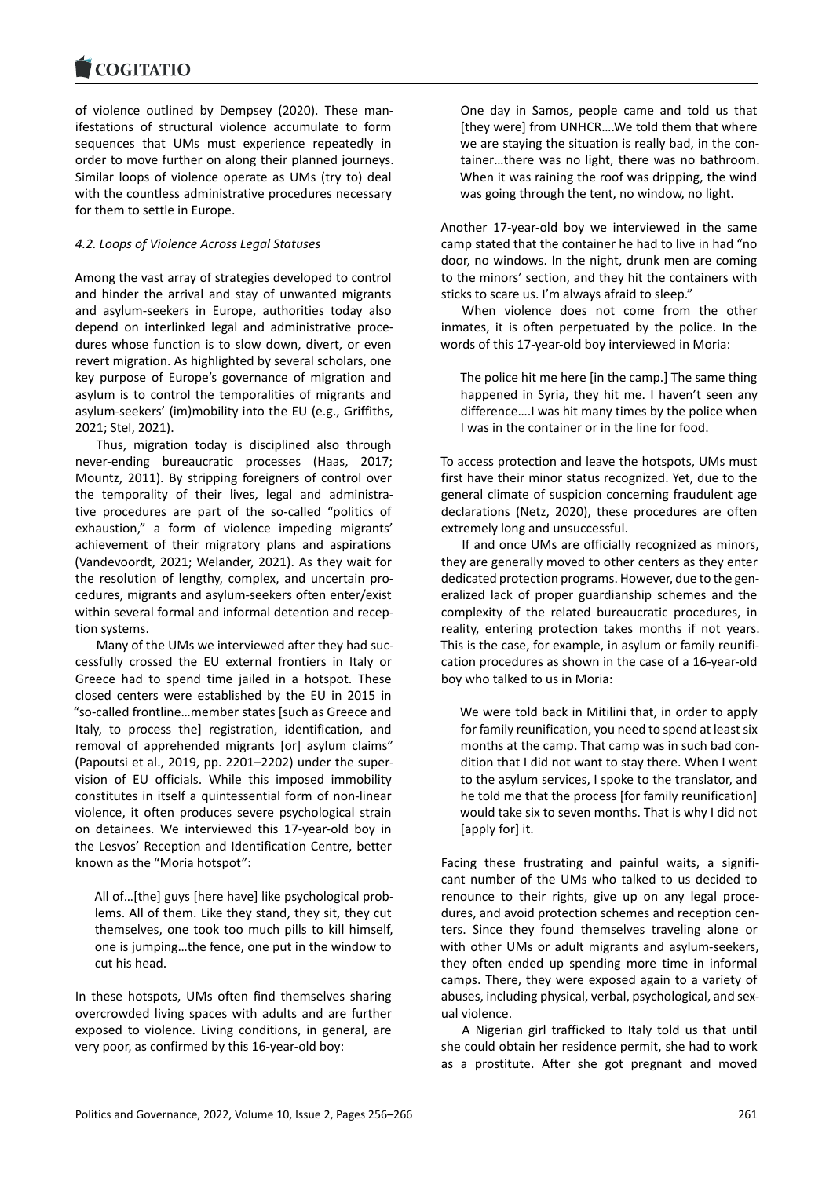#### COGITATIO

of violence outlined by Dempsey (2020). These man‐ [ifestations of struct](https://www.cogitatiopress.com)ural violence accumulate to form sequences that UMs must experience repeatedly in order to move further on along their planned journeys. Similar loops of violence operate as UMs (try to) deal with the countless administrative procedures necessary for them to settle in Europe.

### *4.2. Loops of Violence Across Legal Statuses*

Among the vast array of strategies developed to control and hinder the arrival and stay of unwanted migrants and asylum‐seekers in Europe, authorities today also depend on interlinked legal and administrative proce‐ dures whose function is to slow down, divert, or even revert migration. As highlighted by several scholars, one key purpose of Europe's governance of migration and asylum is to control the temporalities of migrants and asylum‐seekers' (im)mobility into the EU (e.g., Griffiths, 2021; Stel, 2021).

Thus, migration today is disciplined also through never-ending bureaucratic processes (Haas, 2017; Mountz, 2011). By stripping foreigners of control over the temporality of their lives, legal and administra‐ tive procedures are part of the so‐called "politics of exhaustion," a form of violence impeding migrants' achievement of their migratory plans and aspirations (Vandevoordt, 2021; Welander, 2021). As they wait for the resolution of lengthy, complex, and uncertain pro‐ cedures, migrants and asylum‐seekers often enter/exist within several formal and informal detention and recep‐ tion systems.

Many of the UMs we interviewed after they had suc‐ cessfully crossed the EU external frontiers in Italy or Greece had to spend time jailed in a hotspot. These closed centers were established by the EU in 2015 in "so‐called frontline…member states [such as Greece and Italy, to process the] registration, identification, and removal of apprehended migrants [or] asylum claims" (Papoutsi et al., 2019, pp. 2201–2202) under the super‐ vision of EU officials. While this imposed immobility constitutes in itself a quintessential form of non‐linear violence, it often produces severe psychological strain on detainees. We interviewed this 17‐year‐old boy in the Lesvos' Reception and Identification Centre, better known as the "Moria hotspot":

All of…[the] guys [here have] like psychological prob‐ lems. All of them. Like they stand, they sit, they cut themselves, one took too much pills to kill himself, one is jumping…the fence, one put in the window to cut his head.

In these hotspots, UMs often find themselves sharing overcrowded living spaces with adults and are further exposed to violence. Living conditions, in general, are very poor, as confirmed by this 16‐year‐old boy:

One day in Samos, people came and told us that [they were] from UNHCR….We told them that where we are staying the situation is really bad, in the container…there was no light, there was no bathroom. When it was raining the roof was dripping, the wind was going through the tent, no window, no light.

Another 17‐year‐old boy we interviewed in the same camp stated that the container he had to live in had "no door, no windows. In the night, drunk men are coming to the minors' section, and they hit the containers with sticks to scare us. I'm always afraid to sleep."

When violence does not come from the other inmates, it is often perpetuated by the police. In the words of this 17‐year‐old boy interviewed in Moria:

The police hit me here [in the camp.] The same thing happened in Syria, they hit me. I haven't seen any difference….I was hit many times by the police when I was in the container or in the line for food.

To access protection and leave the hotspots, UMs must first have their minor status recognized. Yet, due to the general climate of suspicion concerning fraudulent age declarations (Netz, 2020), these procedures are often extremely long and unsuccessful.

If and once UMs are officially recognized as minors, they are generally moved to other centers as they enter dedicated protection programs. However, due to the gen‐ eralized lack of proper guardianship schemes and the complexity of the related bureaucratic procedures, in reality, entering protection takes months if not years. This is the case, for example, in asylum or family reunifi‐ cation procedures as shown in the case of a 16‐year‐old boy who talked to us in Moria:

We were told back in Mitilini that, in order to apply for family reunification, you need to spend at least six months at the camp. That camp was in such bad con‐ dition that I did not want to stay there. When I went to the asylum services, I spoke to the translator, and he told me that the process [for family reunification] would take six to seven months. That is why I did not [apply for] it.

Facing these frustrating and painful waits, a signifi‐ cant number of the UMs who talked to us decided to renounce to their rights, give up on any legal proce‐ dures, and avoid protection schemes and reception cen‐ ters. Since they found themselves traveling alone or with other UMs or adult migrants and asylum-seekers, they often ended up spending more time in informal camps. There, they were exposed again to a variety of abuses, including physical, verbal, psychological, and sex‐ ual violence.

A Nigerian girl trafficked to Italy told us that until she could obtain her residence permit, she had to work as a prostitute. After she got pregnant and moved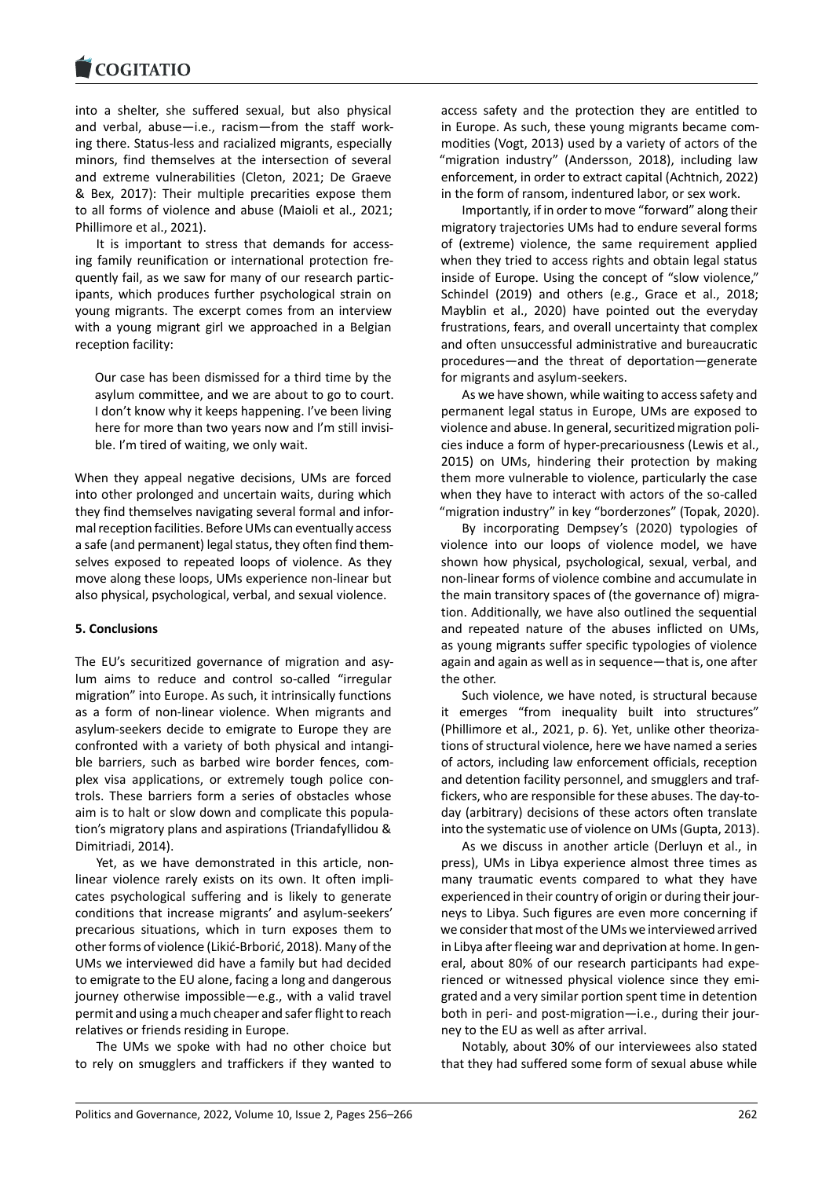#### COGHALIO

into a shelter, she suffered sexual, but also physical [and verbal, abuse—](https://www.cogitatiopress.com)i.e., racism—from the staff work‐ ing there. Status‐less and racialized migrants, especially minors, find themselves at the intersection of several and extreme vulnerabilities (Cleton, 2021; De Graeve & Bex, 2017): Their multiple precarities expose them to all forms of violence and abuse (Maioli et al., 2021; Phillimore et al., 2021).

It is important to stress that demands for accessing family reunification or international protection fre‐ quently fail, as we saw for many of our research partic‐ ipants, which produces further psychological strain on young migrants. The excerpt comes from an interview with a young migrant girl we approached in a Belgian reception facility:

Our case has been dismissed for a third time by the asylum committee, and we are about to go to court. I don't know why it keeps happening. I've been living here for more than two years now and I'm still invisible. I'm tired of waiting, we only wait.

When they appeal negative decisions, UMs are forced into other prolonged and uncertain waits, during which they find themselves navigating several formal and infor‐ mal reception facilities. Before UMs can eventually access a safe (and permanent) legal status, they often find them‐ selves exposed to repeated loops of violence. As they move along these loops, UMs experience non‐linear but also physical, psychological, verbal, and sexual violence.

### **5. Conclusions**

The EU's securitized governance of migration and asy‐ lum aims to reduce and control so-called "irregular migration" into Europe. As such, it intrinsically functions as a form of non‐linear violence. When migrants and asylum‐seekers decide to emigrate to Europe they are confronted with a variety of both physical and intangi‐ ble barriers, such as barbed wire border fences, complex visa applications, or extremely tough police controls. These barriers form a series of obstacles whose aim is to halt or slow down and complicate this popula‐ tion's migratory plans and aspirations (Triandafyllidou & Dimitriadi, 2014).

Yet, as we have demonstrated in this article, nonlinear violence rarely exists on its own. It often impli‐ cates psychological suffering and is likely to generate conditions that increase migrants' and asylum‐seekers' precarious situations, which in turn exposes them to other forms of violence (Likić‐Brborić, 2018). Many of the UMs we interviewed did have a family but had decided to emigrate to the EU alone, facing a long and dangerous journey otherwise impossible—e.g., with a valid travel permit and using a much cheaper and safer flight to reach relatives or friends residing in Europe.

The UMs we spoke with had no other choice but to rely on smugglers and traffickers if they wanted to

access safety and the protection they are entitled to in Europe. As such, these young migrants became com‐ modities (Vogt, 2013) used by a variety of actors of the "migration industry" (Andersson, 2018), including law enforcement, in order to extract capital (Achtnich, 2022) in the form of ransom, indentured labor, or sex work.

Importantly, if in order to move "forward" along their migratory trajectories UMs had to endure several forms of (extreme) violence, the same requirement applied when they tried to access rights and obtain legal status inside of Europe. Using the concept of "slow violence," Schindel (2019) and others (e.g., Grace et al., 2018; Mayblin et al., 2020) have pointed out the everyday frustrations, fears, and overall uncertainty that complex and often unsuccessful administrative and bureaucratic procedures—and the threat of deportation—generate for migrants and asylum‐seekers.

As we have shown, while waiting to access safety and permanent legal status in Europe, UMs are exposed to violence and abuse. In general, securitized migration poli‐ cies induce a form of hyper‐precariousness (Lewis et al., 2015) on UMs, hindering their protection by making them more vulnerable to violence, particularly the case when they have to interact with actors of the so-called "migration industry" in key "borderzones" (Topak, 2020).

By incorporating Dempsey's (2020) typologies of violence into our loops of violence model, we have shown how physical, psychological, sexual, verbal, and non‐linear forms of violence combine and accumulate in the main transitory spaces of (the governance of) migra‐ tion. Additionally, we have also outlined the sequential and repeated nature of the abuses inflicted on UMs, as young migrants suffer specific typologies of violence again and again as well as in sequence—that is, one after the other.

Such violence, we have noted, is structural because it emerges "from inequality built into structures" (Phillimore et al., 2021, p. 6). Yet, unlike other theoriza‐ tions of structural violence, here we have named a series of actors, including law enforcement officials, reception and detention facility personnel, and smugglers and traf‐ fickers, who are responsible for these abuses. The day‐to‐ day (arbitrary) decisions of these actors often translate into the systematic use of violence on UMs (Gupta, 2013).

As we discuss in another article (Derluyn et al., in press), UMs in Libya experience almost three times as many traumatic events compared to what they have experienced in their country of origin or during their jour‐ neys to Libya. Such figures are even more concerning if we consider that most of the UMs we interviewed arrived in Libya after fleeing war and deprivation at home. In gen‐ eral, about 80% of our research participants had expe‐ rienced or witnessed physical violence since they emi‐ grated and a very similar portion spent time in detention both in peri- and post-migration—i.e., during their journey to the EU as well as after arrival.

Notably, about 30% of our interviewees also stated that they had suffered some form of sexual abuse while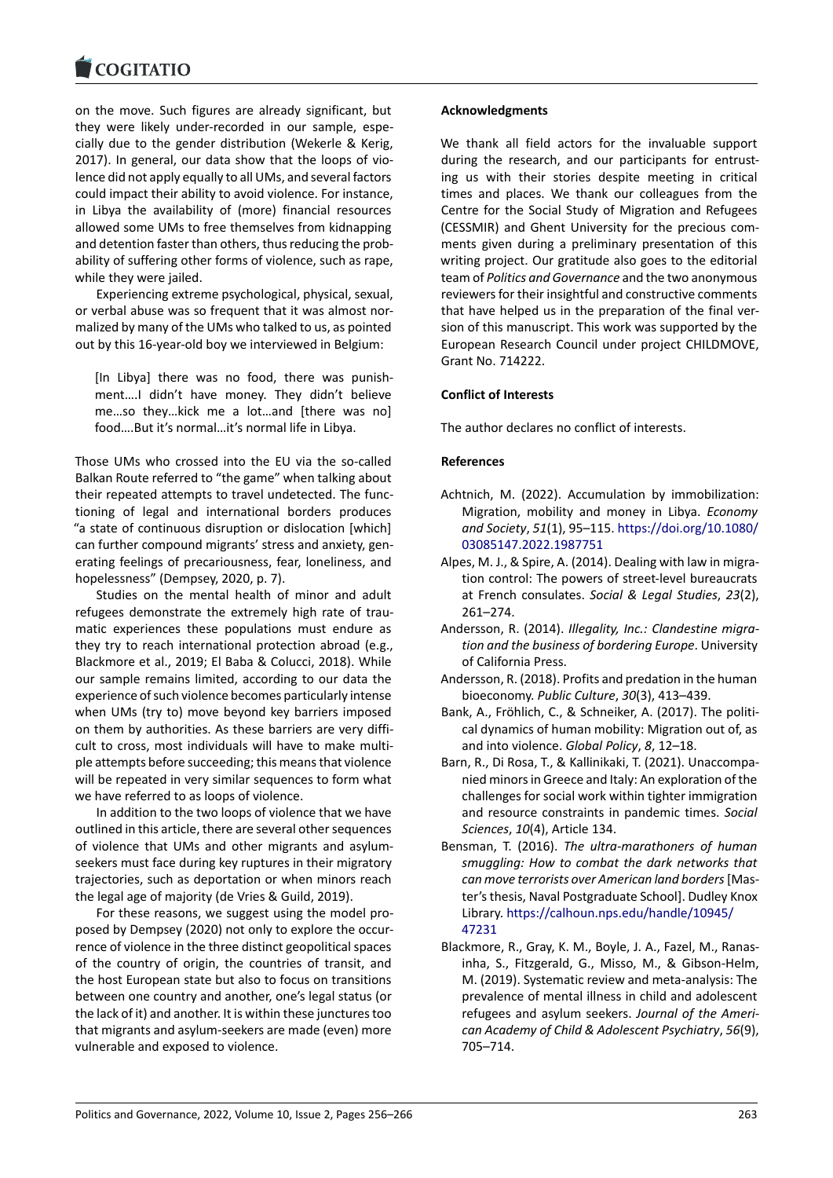#### COGHALIO

on the move. Such figures are already significant, but [they were likely un](https://www.cogitatiopress.com)der‐recorded in our sample, espe‐ cially due to the gender distribution (Wekerle & Kerig, 2017). In general, our data show that the loops of vio‐ lence did not apply equally to all UMs, and several factors could impact their ability to avoid violence. For instance, in Libya the availability of (more) financial resources allowed some UMs to free themselves from kidnapping and detention faster than others, thus reducing the prob‐ ability of suffering other forms of violence, such as rape, while they were jailed.

Experiencing extreme psychological, physical, sexual, or verbal abuse was so frequent that it was almost nor‐ malized by many of the UMs who talked to us, as pointed out by this 16‐year‐old boy we interviewed in Belgium:

[In Libya] there was no food, there was punish‐ ment….I didn't have money. They didn't believe me…so they…kick me a lot…and [there was no] food….But it's normal…it's normal life in Libya.

Those UMs who crossed into the EU via the so-called Balkan Route referred to "the game" when talking about their repeated attempts to travel undetected. The func‐ tioning of legal and international borders produces "a state of continuous disruption or dislocation [which] can further compound migrants' stress and anxiety, gen‐ erating feelings of precariousness, fear, loneliness, and hopelessness" (Dempsey, 2020, p. 7).

Studies on the mental health of minor and adult refugees demonstrate the extremely high rate of traumatic experiences these populations must endure as they try to reach international protection abroad (e.g., Blackmore et al., 2019; El Baba & Colucci, 2018). While our sample remains limited, according to our data the experience of such violence becomes particularly intense when UMs (try to) move beyond key barriers imposed on them by authorities. As these barriers are very diffi‐ cult to cross, most individuals will have to make multi‐ ple attempts before succeeding; this means that violence will be repeated in very similar sequences to form what we have referred to as loops of violence.

In addition to the two loops of violence that we have outlined in this article, there are several other sequences of violence that UMs and other migrants and asylum‐ seekers must face during key ruptures in their migratory trajectories, such as deportation or when minors reach the legal age of majority (de Vries & Guild, 2019).

For these reasons, we suggest using the model proposed by Dempsey (2020) not only to explore the occur‐ rence of violence in the three distinct geopolitical spaces of the country of origin, the countries of transit, and the host European state but also to focus on transitions between one country and another, one's legal status (or the lack of it) and another. It is within these junctures too that migrants and asylum‐seekers are made (even) more vulnerable and exposed to violence.

### **Acknowledgments**

We thank all field actors for the invaluable support during the research, and our participants for entrusting us with their stories despite meeting in critical times and places. We thank our colleagues from the Centre for the Social Study of Migration and Refugees (CESSMIR) and Ghent University for the precious com‐ ments given during a preliminary presentation of this writing project. Our gratitude also goes to the editorial team of *Politics and Governance* and the two anonymous reviewers for their insightful and constructive comments that have helped us in the preparation of the final ver‐ sion of this manuscript. This work was supported by the European Research Council under project CHILDMOVE, Grant No. 714222.

### **Conflict of Interests**

The author declares no conflict of interests.

### **References**

- Achtnich, M. (2022). Accumulation by immobilization: Migration, mobility and money in Libya. *Economy and Society*, *51*(1), 95–115. https://doi.org/10.1080/ 03085147.2022.1987751
- Alpes, M. J., & Spire, A. (2014). Dealing with law in migra‐ tion control: The powers of street‐level bureaucrats at French consulates. *Soci[al & Legal Studies](https://doi.org/10.1080/03085147.2022.1987751)*, *23*(2), [261–274.](https://doi.org/10.1080/03085147.2022.1987751)
- Andersson, R. (2014). *Illegality, Inc.: Clandestine migra‐ tion and the business of bordering Europe*. University of California Press.
- Andersson, R. (2018). Profits and predation in the human bioeconomy. *Public Culture*, *30*(3), 413–439.
- Bank, A., Fröhlich, C., & Schneiker, A. (2017). The politi‐ cal dynamics of human mobility: Migration out of, as and into violence. *Global Policy*, *8*, 12–18.
- Barn, R., Di Rosa, T., & Kallinikaki, T. (2021). Unaccompa‐ nied minors in Greece and Italy: An exploration of the challenges for social work within tighter immigration and resource constraints in pandemic times. *Social Sciences*, *10*(4), Article 134.
- Bensman, T. (2016). *The ultra‐marathoners of human smuggling: How to combat the dark networks that can move terrorists over American land borders*[Mas‐ ter's thesis, Naval Postgraduate School]. Dudley Knox Library. https://calhoun.nps.edu/handle/10945/ 47231
- Blackmore, R., Gray, K. M., Boyle, J. A., Fazel, M., Ranas‐ inha, S., Fitzgerald, G., Misso, M., & Gibson‐Helm, M. (201[9\). Systematic review and meta‐analysis:](https://calhoun.nps.edu/handle/10945/47231) The [preval](https://calhoun.nps.edu/handle/10945/47231)ence of mental illness in child and adolescent refugees and asylum seekers. *Journal of the Ameri‐ can Academy of Child & Adolescent Psychiatry*, *56*(9), 705–714.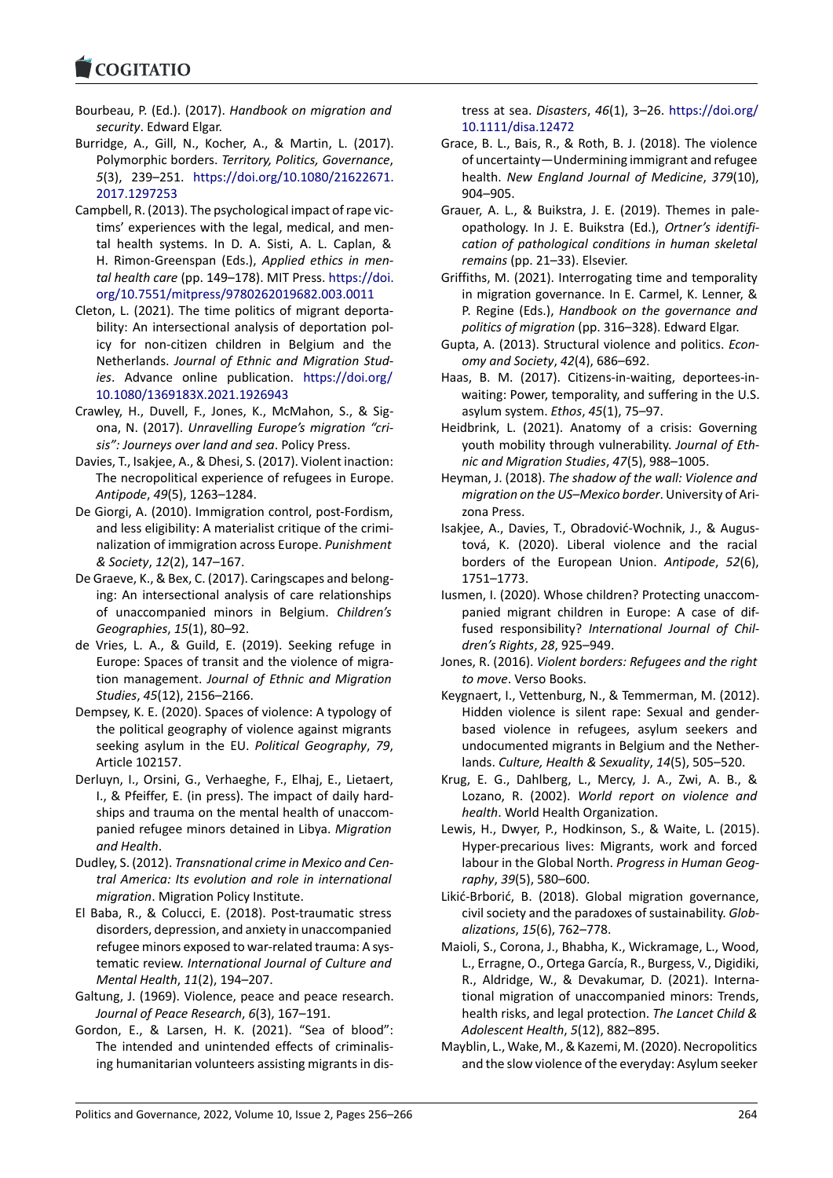### **LOGITATIO**

- Bourbeau, P. (Ed.). (2017). *Handbook on migration and security*. Edward Elgar.
- [Burridge, A., Gill, N](https://www.cogitatiopress.com)., Kocher, A., & Martin, L. (2017). Polymorphic borders. *Territory, Politics, Governance*, *5*(3), 239–251. https://doi.org/10.1080/21622671. 2017.1297253
- Campbell, R. (2013). The psychological impact of rape vic‐ tims' experiences with the legal, medical, and men‐ tal health syste[ms. In D. A. Sisti, A. L. Caplan, &](https://doi.org/10.1080/21622671.2017.1297253) [H. Rimon‐Gree](https://doi.org/10.1080/21622671.2017.1297253)nspan (Eds.), *Applied ethics in men‐ tal health care* (pp. 149–178). MIT Press. https://doi. org/10.7551/mitpress/9780262019682.003.0011
- Cleton, L. (2021). The time politics of migrant deporta‐ bility: An intersectional analysis of deportation pol‐ icy for non‐citizen children in Belgiu[m and the](https://doi.org/10.7551/mitpress/9780262019682.003.0011) Netherlands. *[Journal of Ethnic and Migration St](https://doi.org/10.7551/mitpress/9780262019682.003.0011)ud‐ ies*. Advance online publication. https://doi.org/ 10.1080/1369183X.2021.1926943
- Crawley, H., Duvell, F., Jones, K., McMahon, S., & Sig‐ ona, N. (2017). *Unravelling Europe's migration "cri‐ sis": Journeys over land and sea*. Poli[cy Press.](https://doi.org/10.1080/1369183X.2021.1926943)
- Da[vies, T., Isakjee, A., & Dhesi, S. \(2017](https://doi.org/10.1080/1369183X.2021.1926943)). Violent inaction: The necropolitical experience of refugees in Europe. *Antipode*, *49*(5), 1263–1284.
- De Giorgi, A. (2010). Immigration control, post‐Fordism, and less eligibility: A materialist critique of the crimi‐ nalization of immigration across Europe. *Punishment & Society*, *12*(2), 147–167.
- De Graeve, K., & Bex, C. (2017). Caringscapes and belong‐ ing: An intersectional analysis of care relationships of unaccompanied minors in Belgium. *Children's Geographies*, *15*(1), 80–92.
- de Vries, L. A., & Guild, E. (2019). Seeking refuge in Europe: Spaces of transit and the violence of migra‐ tion management. *Journal of Ethnic and Migration Studies*, *45*(12), 2156–2166.
- Dempsey, K. E. (2020). Spaces of violence: A typology of the political geography of violence against migrants seeking asylum in the EU. *Political Geography*, *79*, Article 102157.
- Derluyn, I., Orsini, G., Verhaeghe, F., Elhaj, E., Lietaert, I., & Pfeiffer, E. (in press). The impact of daily hard‐ ships and trauma on the mental health of unaccom‐ panied refugee minors detained in Libya. *Migration and Health*.
- Dudley, S. (2012). *Transnational crime in Mexico and Cen‐ tral America: Its evolution and role in international migration*. Migration Policy Institute.
- El Baba, R., & Colucci, E. (2018). Post-traumatic stress disorders, depression, and anxiety in unaccompanied refugee minors exposed to war-related trauma: A systematic review. *International Journal of Culture and Mental Health*, *11*(2), 194–207.
- Galtung, J. (1969). Violence, peace and peace research. *Journal of Peace Research*, *6*(3), 167–191.
- Gordon, E., & Larsen, H. K. (2021). "Sea of blood": The intended and unintended effects of criminalis‐ ing humanitarian volunteers assisting migrants in dis‐

tress at sea. *Disasters*, *46*(1), 3–26. https://doi.org/ 10.1111/disa.12472

- Grace, B. L., Bais, R., & Roth, B. J. (2018). The violence of uncertainty—Undermining immigrant and refugee health. *New England Journal of M[edicine](https://doi.org/10.1111/disa.12472)*, *379*(10), [904–905.](https://doi.org/10.1111/disa.12472)
- Grauer, A. L., & Buikstra, J. E. (2019). Themes in pale‐ opathology. In J. E. Buikstra (Ed.), *Ortner's identifi‐ cation of pathological conditions in human skeletal remains* (pp. 21–33). Elsevier.
- Griffiths, M. (2021). Interrogating time and temporality in migration governance. In E. Carmel, K. Lenner, & P. Regine (Eds.), *Handbook on the governance and politics of migration* (pp. 316–328). Edward Elgar.
- Gupta, A. (2013). Structural violence and politics. *Econ‐ omy and Society*, *42*(4), 686–692.
- Haas, B. M. (2017). Citizens-in-waiting, deportees-inwaiting: Power, temporality, and suffering in the U.S. asylum system. *Ethos*, *45*(1), 75–97.
- Heidbrink, L. (2021). Anatomy of a crisis: Governing youth mobility through vulnerability. *Journal of Eth‐ nic and Migration Studies*, *47*(5), 988–1005.
- Heyman, J. (2018). *The shadow of the wall: Violence and migration on the US–Mexico border*. University of Ari‐ zona Press.
- Isakjee, A., Davies, T., Obradović‐Wochnik, J., & Augus‐ tová, K. (2020). Liberal violence and the racial borders of the European Union. *Antipode*, *52*(6), 1751–1773.
- Iusmen, I. (2020). Whose children? Protecting unaccom‐ panied migrant children in Europe: A case of dif‐ fused responsibility? *International Journal of Chil‐ dren's Rights*, *28*, 925–949.
- Jones, R. (2016). *Violent borders: Refugees and the right to move*. Verso Books.
- Keygnaert, I., Vettenburg, N., & Temmerman, M. (2012). Hidden violence is silent rape: Sexual and gender‐ based violence in refugees, asylum seekers and undocumented migrants in Belgium and the Nether‐ lands. *Culture, Health & Sexuality*, *14*(5), 505–520.
- Krug, E. G., Dahlberg, L., Mercy, J. A., Zwi, A. B., & Lozano, R. (2002). *World report on violence and health*. World Health Organization.
- Lewis, H., Dwyer, P., Hodkinson, S., & Waite, L. (2015). Hyper‐precarious lives: Migrants, work and forced labour in the Global North. *Progress in Human Geog‐ raphy*, *39*(5), 580–600.
- Likić‐Brborić, B. (2018). Global migration governance, civil society and the paradoxes of sustainability. *Glob‐ alizations*, *15*(6), 762–778.
- Maioli, S., Corona, J., Bhabha, K., Wickramage, L., Wood, L., Erragne, O., Ortega García, R., Burgess, V., Digidiki, R., Aldridge, W., & Devakumar, D. (2021). Interna‐ tional migration of unaccompanied minors: Trends, health risks, and legal protection. *The Lancet Child & Adolescent Health*, *5*(12), 882–895.
- Mayblin, L., Wake, M., & Kazemi, M. (2020). Necropolitics and the slow violence of the everyday: Asylum seeker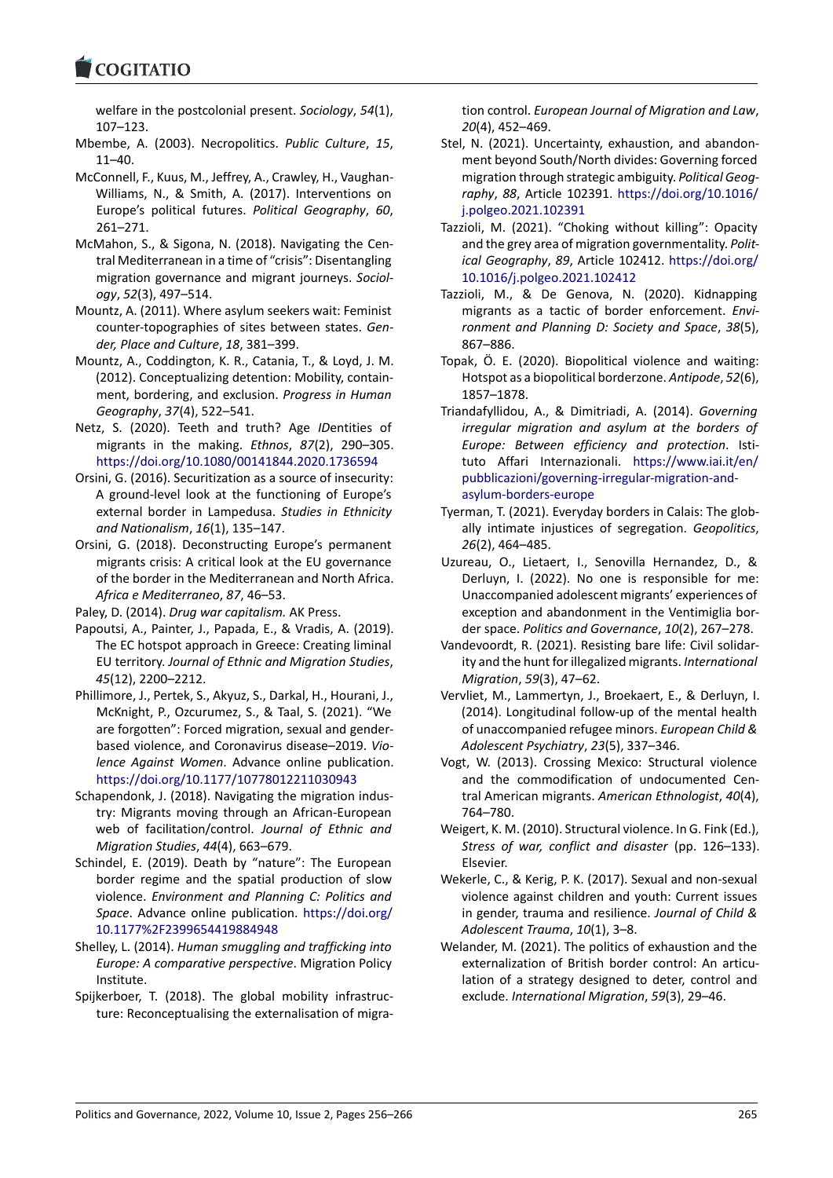#### COQUATIO

welfare in the postcolonial present. *Sociology*, *54*(1), 107–123.

- [Mbembe, A. \(2003\)](https://www.cogitatiopress.com). Necropolitics. *Public Culture*, *15*, 11–40.
- McConnell, F., Kuus, M., Jeffrey, A., Crawley, H., Vaughan‐ Williams, N., & Smith, A. (2017). Interventions on Europe's political futures. *Political Geography*, *60*, 261–271.
- McMahon, S., & Sigona, N. (2018). Navigating the Cen‐ tral Mediterranean in a time of "crisis": Disentangling migration governance and migrant journeys. *Sociol‐ ogy*, *52*(3), 497–514.
- Mountz, A. (2011). Where asylum seekers wait: Feminist counter‐topographies of sites between states. *Gen‐ der, Place and Culture*, *18*, 381–399.
- Mountz, A., Coddington, K. R., Catania, T., & Loyd, J. M. (2012). Conceptualizing detention: Mobility, contain‐ ment, bordering, and exclusion. *Progress in Human Geography*, *37*(4), 522–541.
- Netz, S. (2020). Teeth and truth? Age *ID*entities of migrants in the making. *Ethnos*, *87*(2), 290–305. https://doi.org/10.1080/00141844.2020.1736594
- Orsini, G. (2016). Securitization as a source of insecurity: A ground‐level look at the functioning of Europe's external border in Lampedusa. *Studies in Ethnicity [and Nationalism](https://doi.org/10.1080/00141844.2020.1736594)*, *16*(1), 135–147.
- Orsini, G. (2018). Deconstructing Europe's permanent migrants crisis: A critical look at the EU governance of the border in the Mediterranean and North Africa. *Africa e Mediterraneo*, *87*, 46–53.
- Paley, D. (2014). *Drug war capitalism.* AK Press.
- Papoutsi, A., Painter, J., Papada, E., & Vradis, A. (2019). The EC hotspot approach in Greece: Creating liminal EU territory. *Journal of Ethnic and Migration Studies*, *45*(12), 2200–2212.
- Phillimore, J., Pertek, S., Akyuz, S., Darkal, H., Hourani, J., McKnight, P., Ozcurumez, S., & Taal, S. (2021). "We are forgotten": Forced migration, sexual and gender‐ based violence, and Coronavirus disease–2019. *Vio‐ lence Against Women*. Advance online publication. https://doi.org/10.1177/10778012211030943
- Schapendonk, J. (2018). Navigating the migration indus‐ try: Migrants moving through an African‐European web of facilitation/control. *Journal of Ethnic and [Migration Studies](https://doi.org/10.1177/10778012211030943)*, *44*(4), 663–679.
- Schindel, E. (2019). Death by "nature": The European border regime and the spatial production of slow violence. *Environment and Planning C: Politics and Space*. Advance online publication. https://doi.org/ 10.1177%2F2399654419884948
- Shelley, L. (2014). *Human smuggling and trafficking into Europe: A comparative perspective*. Migration Policy Institute.
- Spij[kerboer, T. \(2018\). The global](https://doi.org/10.1177%2F2399654419884948) mobility infrastruc‐ ture: Reconceptualising the externalisation of migra-

tion control. *European Journal of Migration and Law*, *20*(4), 452–469.

- Stel, N. (2021). Uncertainty, exhaustion, and abandon‐ ment beyond South/North divides: Governing forced migration through strategic ambiguity. *Political Geog‐ raphy*, *88*, Article 102391. https://doi.org/10.1016/ j.polgeo.2021.102391
- Tazzioli, M. (2021). "Choking without killing": Opacity and the grey area of migration governmentality. *Polit‐ ical Geography*, *89*, Article 102412. [https://doi.org/](https://doi.org/10.1016/j.polgeo.2021.102391) [10.1016/j.polgeo.2021](https://doi.org/10.1016/j.polgeo.2021.102391).102412
- Tazzioli, M., & De Genova, N. (2020). Kidnapping migrants as a tactic of border enforcement. *Envi‐ ronment and Planning D: Society a[nd Space](https://doi.org/10.1016/j.polgeo.2021.102412)*, *38*(5), [867–886.](https://doi.org/10.1016/j.polgeo.2021.102412)
- Topak, Ö. E. (2020). Biopolitical violence and waiting: Hotspot as a biopolitical borderzone. *Antipode*, *52*(6), 1857–1878.
- Triandafyllidou, A., & Dimitriadi, A. (2014). *Governing irregular migration and asylum at the borders of Europe: Between efficiency and protection*. Isti‐ tuto Affari Internazionali. https://www.iai.it/en/ pubblicazioni/governing‐irregular‐migration‐and‐ asylum‐borders‐europe
- Tyerman, T. (2021). Everyday borders in Calais: The glob‐ ally intimate injustices of segregation. *[Geopolitics](https://www.iai.it/en/pubblicazioni/governing-irregular-migration-and-asylum-borders-europe)*, *26*[\(2\), 464–485.](https://www.iai.it/en/pubblicazioni/governing-irregular-migration-and-asylum-borders-europe)
- Uz[ureau, O., Lietaert, I.,](https://www.iai.it/en/pubblicazioni/governing-irregular-migration-and-asylum-borders-europe) Senovilla Hernandez, D., & Derluyn, I. (2022). No one is responsible for me: Unaccompanied adolescent migrants' experiences of exception and abandonment in the Ventimiglia bor‐ der space. *Politics and Governance*, *10*(2), 267–278.
- Vandevoordt, R. (2021). Resisting bare life: Civil solidar‐ ity and the hunt for illegalized migrants. *International Migration*, *59*(3), 47–62.
- Vervliet, M., Lammertyn, J., Broekaert, E., & Derluyn, I. (2014). Longitudinal follow‐up of the mental health of unaccompanied refugee minors. *European Child & Adolescent Psychiatry*, *23*(5), 337–346.
- Vogt, W. (2013). Crossing Mexico: Structural violence and the commodification of undocumented Cen‐ tral American migrants. *American Ethnologist*, *40*(4), 764–780.
- Weigert, K. M. (2010). Structural violence. In G. Fink (Ed.), *Stress of war, conflict and disaster* (pp. 126–133). Elsevier.
- Wekerle, C., & Kerig, P. K. (2017). Sexual and non‐sexual violence against children and youth: Current issues in gender, trauma and resilience. *Journal of Child & Adolescent Trauma*, *10*(1), 3–8.
- Welander, M. (2021). The politics of exhaustion and the externalization of British border control: An articulation of a strategy designed to deter, control and exclude. *International Migration*, *59*(3), 29–46.